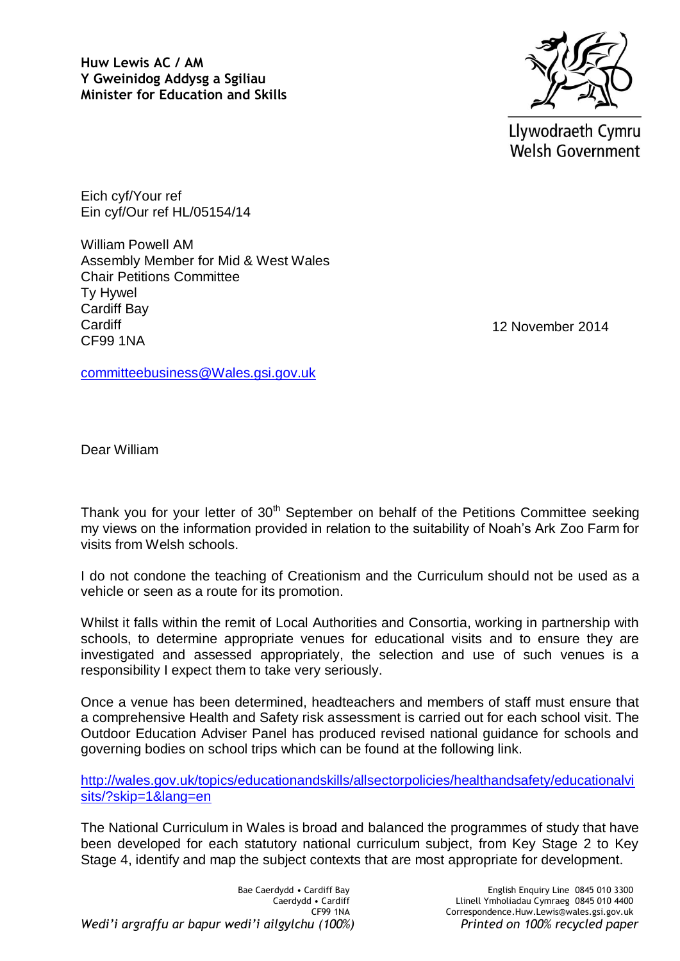**Huw Lewis AC / AM Y Gweinidog Addysg a Sgiliau Minister for Education and Skills**



Llywodraeth Cymru **Welsh Government** 

Eich cyf/Your ref Ein cyf/Our ref HL/05154/14

William Powell AM Assembly Member for Mid & West Wales Chair Petitions Committee Ty Hywel Cardiff Bay **Cardiff** CF99 1NA

12 November 2014

[committeebusiness@Wales.gsi.gov.uk](mailto:committeebusiness@Wales.gsi.gov.uk)

Dear William

Thank you for your letter of  $30<sup>th</sup>$  September on behalf of the Petitions Committee seeking my views on the information provided in relation to the suitability of Noah's Ark Zoo Farm for visits from Welsh schools.

I do not condone the teaching of Creationism and the Curriculum should not be used as a vehicle or seen as a route for its promotion.

Whilst it falls within the remit of Local Authorities and Consortia, working in partnership with schools, to determine appropriate venues for educational visits and to ensure they are investigated and assessed appropriately, the selection and use of such venues is a responsibility I expect them to take very seriously.

Once a venue has been determined, headteachers and members of staff must ensure that a comprehensive Health and Safety risk assessment is carried out for each school visit. The Outdoor Education Adviser Panel has produced revised national guidance for schools and governing bodies on school trips which can be found at the following link.

[http://wales.gov.uk/topics/educationandskills/allsectorpolicies/healthandsafety/educationalvi](http://wales.gov.uk/topics/educationandskills/allsectorpolicies/healthandsafety/educationalvisits/?skip=1&lang=en) [sits/?skip=1&lang=en](http://wales.gov.uk/topics/educationandskills/allsectorpolicies/healthandsafety/educationalvisits/?skip=1&lang=en)

The National Curriculum in Wales is broad and balanced the programmes of study that have been developed for each statutory national curriculum subject, from Key Stage 2 to Key Stage 4, identify and map the subject contexts that are most appropriate for development.